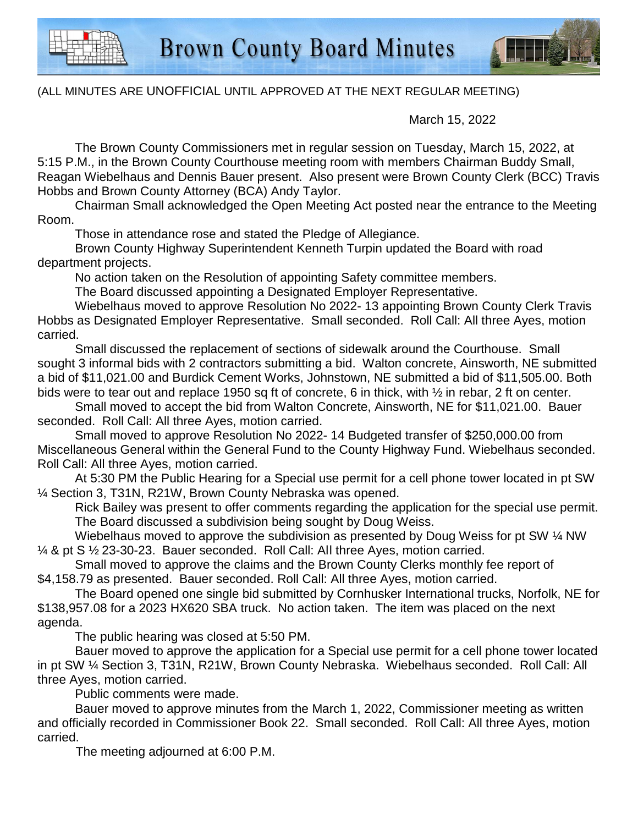

## (ALL MINUTES ARE UNOFFICIAL UNTIL APPROVED AT THE NEXT REGULAR MEETING)

March 15, 2022

The Brown County Commissioners met in regular session on Tuesday, March 15, 2022, at 5:15 P.M., in the Brown County Courthouse meeting room with members Chairman Buddy Small, Reagan Wiebelhaus and Dennis Bauer present. Also present were Brown County Clerk (BCC) Travis Hobbs and Brown County Attorney (BCA) Andy Taylor.

Chairman Small acknowledged the Open Meeting Act posted near the entrance to the Meeting Room.

Those in attendance rose and stated the Pledge of Allegiance.

Brown County Highway Superintendent Kenneth Turpin updated the Board with road department projects.

No action taken on the Resolution of appointing Safety committee members.

The Board discussed appointing a Designated Employer Representative.

Wiebelhaus moved to approve Resolution No 2022- 13 appointing Brown County Clerk Travis Hobbs as Designated Employer Representative. Small seconded. Roll Call: All three Ayes, motion carried.

Small discussed the replacement of sections of sidewalk around the Courthouse. Small sought 3 informal bids with 2 contractors submitting a bid. Walton concrete, Ainsworth, NE submitted a bid of \$11,021.00 and Burdick Cement Works, Johnstown, NE submitted a bid of \$11,505.00. Both bids were to tear out and replace 1950 sq ft of concrete, 6 in thick, with ½ in rebar, 2 ft on center.

Small moved to accept the bid from Walton Concrete, Ainsworth, NE for \$11,021.00. Bauer seconded. Roll Call: All three Ayes, motion carried.

Small moved to approve Resolution No 2022- 14 Budgeted transfer of \$250,000.00 from Miscellaneous General within the General Fund to the County Highway Fund. Wiebelhaus seconded. Roll Call: All three Ayes, motion carried.

At 5:30 PM the Public Hearing for a Special use permit for a cell phone tower located in pt SW ¼ Section 3, T31N, R21W, Brown County Nebraska was opened.

Rick Bailey was present to offer comments regarding the application for the special use permit. The Board discussed a subdivision being sought by Doug Weiss.

Wiebelhaus moved to approve the subdivision as presented by Doug Weiss for pt SW % NW ¼ & pt S ½ 23-30-23. Bauer seconded. Roll Call: All three Ayes, motion carried.

Small moved to approve the claims and the Brown County Clerks monthly fee report of \$4,158.79 as presented. Bauer seconded. Roll Call: All three Ayes, motion carried.

The Board opened one single bid submitted by Cornhusker International trucks, Norfolk, NE for \$138,957.08 for a 2023 HX620 SBA truck. No action taken. The item was placed on the next agenda.

The public hearing was closed at 5:50 PM.

Bauer moved to approve the application for a Special use permit for a cell phone tower located in pt SW ¼ Section 3, T31N, R21W, Brown County Nebraska. Wiebelhaus seconded. Roll Call: All three Ayes, motion carried.

Public comments were made.

Bauer moved to approve minutes from the March 1, 2022, Commissioner meeting as written and officially recorded in Commissioner Book 22. Small seconded. Roll Call: All three Aves, motion carried.

The meeting adjourned at 6:00 P.M.